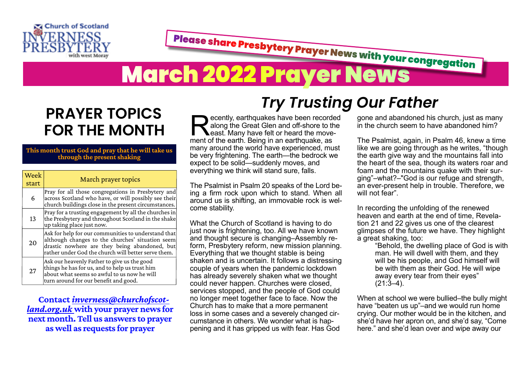

Please share Presbytery Prayer News with your congregation **March 2022 Prayer News** 

## **PRAYER TOPICS FOR THE MONTH**

## **This month trust God and pray that he will take us through the present shaking**

| Week<br>start | March prayer topics                                                                                                                                                                                             |
|---------------|-----------------------------------------------------------------------------------------------------------------------------------------------------------------------------------------------------------------|
| 6             | Pray for all those congregations in Presbytery and<br>across Scotland who have, or will possibly see their<br>church buildings close in the present circumstances.                                              |
| 13            | Pray for a trusting engagement by all the churches in<br>the Presbytery and throughout Scotland in the shake<br>up taking place just now.                                                                       |
| 20            | Ask for help for our communities to understand that<br>although changes to the churches' situation seem<br>drastic nowhere are they being abandoned, but<br>rather under God the church will better serve them. |
| 27            | Ask our heavenly Father to give us the good<br>things he has for us, and to help us trust him<br>about what seems so awful to us now he will<br>turn around for our benefit and good.                           |

**Contact** *[inverness@churchofscot‐](mailto:inverness@churchofscotland.org.uk%20) [land.org.uk](mailto:inverness@churchofscotland.org.uk%20)* **with your prayer news for next month. Tell us answers to prayer as well as requests for prayer**

## *Try Trusting Our Father*

**Recently, earthquakes have been record along the Great Glen and off-shore to the east. Many have felt or heard the movement of the earth. Being in an earthquake, as** ecently, earthquakes have been recorded along the Great Glen and off-shore to the **Least.** Many have felt or heard the movemany around the world have experienced, must be very frightening. The earth—the bedrock we expect to be solid—suddenly moves, and everything we think will stand sure, falls.

The Psalmist in Psalm 20 speaks of the Lord being a firm rock upon which to stand. When all around us is shifting, an immovable rock is welcome stability.

What the Church of Scotland is having to do just now is frightening, too. All we have known and thought secure is changing–Assembly reform, Presbytery reform, new mission planning. Everything that we thought stable is being shaken and is uncertain. It follows a distressing couple of years when the pandemic lockdown has already severely shaken what we thought could never happen. Churches were closed, services stopped, and the people of God could no longer meet together face to face. Now the Church has to make that a more permanent loss in some cases and a severely changed circumstance in others. We wonder what is happening and it has gripped us with fear. Has God

gone and abandoned his church, just as many in the church seem to have abandoned him?

The Psalmist, again, in Psalm 46, knew a time like we are going through as he writes, "though the earth give way and the mountains fall into the heart of the sea, though its waters roar and foam and the mountains quake with their surging"–what?–"God is our refuge and strength, an ever-present help in trouble. Therefore, we will not fear"

In recording the unfolding of the renewed heaven and earth at the end of time, Revelation 21 and 22 gives us one of the clearest glimpses of the future we have. They highlight a great shaking, too:

"Behold, the dwelling place of God is with man. He will dwell with them, and they will be his people, and God himself will be with them as their God. He will wipe away every tear from their eyes"  $(21:3-4)$ .

When at school we were bullied–the bully might have "beaten us up"–and we would run home crying. Our mother would be in the kitchen, and she'd have her apron on, and she'd say, "Come here." and she'd lean over and wipe away our